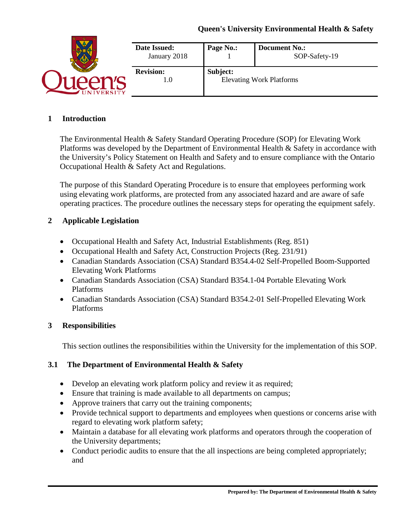|                | Date Issued:<br>January 2018 | Page No.: | <b>Document No.:</b><br>SOP-Safety-19 |
|----------------|------------------------------|-----------|---------------------------------------|
| <b>VERSITY</b> | <b>Revision:</b><br>1.0      | Subject:  | <b>Elevating Work Platforms</b>       |

#### **1 Introduction**

The Environmental Health & Safety Standard Operating Procedure (SOP) for Elevating Work Platforms was developed by the Department of Environmental Health & Safety in accordance with the University's Policy Statement on Health and Safety and to ensure compliance with the Ontario Occupational Health & Safety Act and Regulations.

The purpose of this Standard Operating Procedure is to ensure that employees performing work using elevating work platforms, are protected from any associated hazard and are aware of safe operating practices. The procedure outlines the necessary steps for operating the equipment safely.

#### **2 Applicable Legislation**

- Occupational Health and Safety Act, Industrial Establishments (Reg. 851)
- Occupational Health and Safety Act, Construction Projects (Reg. 231/91)
- Canadian Standards Association (CSA) Standard B354.4-02 Self-Propelled Boom-Supported Elevating Work Platforms
- Canadian Standards Association (CSA) Standard B354.1-04 Portable Elevating Work Platforms
- Canadian Standards Association (CSA) Standard B354.2-01 Self-Propelled Elevating Work Platforms

### **3 Responsibilities**

This section outlines the responsibilities within the University for the implementation of this SOP.

### **3.1 The Department of Environmental Health & Safety**

- Develop an elevating work platform policy and review it as required;
- Ensure that training is made available to all departments on campus;
- Approve trainers that carry out the training components;
- Provide technical support to departments and employees when questions or concerns arise with regard to elevating work platform safety;
- Maintain a database for all elevating work platforms and operators through the cooperation of the University departments;
- Conduct periodic audits to ensure that the all inspections are being completed appropriately; and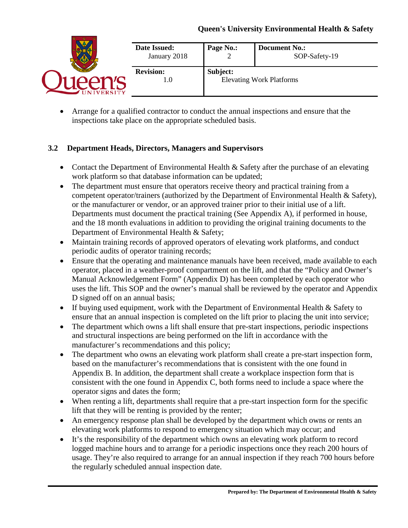|               | Date Issued:<br>January 2018 | Page No.: | <b>Document No.:</b><br>SOP-Safety-19 |
|---------------|------------------------------|-----------|---------------------------------------|
| <b>ERSITY</b> | <b>Revision:</b><br>. 0      | Subject:  | <b>Elevating Work Platforms</b>       |

• Arrange for a qualified contractor to conduct the annual inspections and ensure that the inspections take place on the appropriate scheduled basis.

## **3.2 Department Heads, Directors, Managers and Supervisors**

- Contact the Department of Environmental Health & Safety after the purchase of an elevating work platform so that database information can be updated;
- The department must ensure that operators receive theory and practical training from a competent operator/trainers (authorized by the Department of Environmental Health & Safety), or the manufacturer or vendor, or an approved trainer prior to their initial use of a lift. Departments must document the practical training (See Appendix A), if performed in house, and the 18 month evaluations in addition to providing the original training documents to the Department of Environmental Health & Safety;
- Maintain training records of approved operators of elevating work platforms, and conduct periodic audits of operator training records;
- Ensure that the operating and maintenance manuals have been received, made available to each operator, placed in a weather-proof compartment on the lift, and that the "Policy and Owner's Manual Acknowledgement Form" (Appendix D) has been completed by each operator who uses the lift. This SOP and the owner's manual shall be reviewed by the operator and Appendix D signed off on an annual basis;
- If buying used equipment, work with the Department of Environmental Health & Safety to ensure that an annual inspection is completed on the lift prior to placing the unit into service;
- The department which owns a lift shall ensure that pre-start inspections, periodic inspections and structural inspections are being performed on the lift in accordance with the manufacturer's recommendations and this policy;
- The department who owns an elevating work platform shall create a pre-start inspection form, based on the manufacturer's recommendations that is consistent with the one found in Appendix B. In addition, the department shall create a workplace inspection form that is consistent with the one found in Appendix C, both forms need to include a space where the operator signs and dates the form;
- When renting a lift, departments shall require that a pre-start inspection form for the specific lift that they will be renting is provided by the renter;
- An emergency response plan shall be developed by the department which owns or rents an elevating work platforms to respond to emergency situation which may occur; and
- It's the responsibility of the department which owns an elevating work platform to record logged machine hours and to arrange for a periodic inspections once they reach 200 hours of usage. They're also required to arrange for an annual inspection if they reach 700 hours before the regularly scheduled annual inspection date.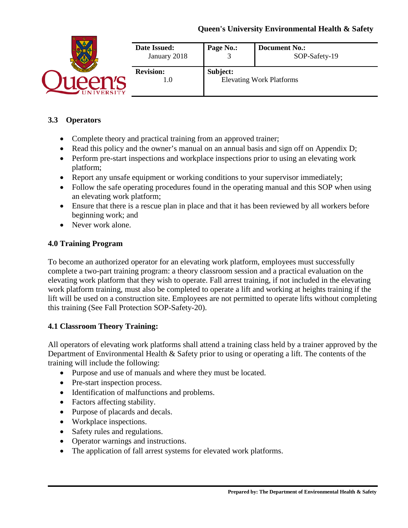| <b>ERSITY</b> | <b>Date Issued:</b><br>January 2018 | Page No.: | <b>Document No.:</b><br>SOP-Safety-19 |
|---------------|-------------------------------------|-----------|---------------------------------------|
|               | <b>Revision:</b><br>L.U             | Subject:  | <b>Elevating Work Platforms</b>       |

## **3.3 Operators**

- Complete theory and practical training from an approved trainer;
- Read this policy and the owner's manual on an annual basis and sign off on Appendix D;
- Perform pre-start inspections and workplace inspections prior to using an elevating work platform;
- Report any unsafe equipment or working conditions to your supervisor immediately;
- Follow the safe operating procedures found in the operating manual and this SOP when using an elevating work platform;
- Ensure that there is a rescue plan in place and that it has been reviewed by all workers before beginning work; and
- Never work alone.

### **4.0 Training Program**

To become an authorized operator for an elevating work platform, employees must successfully complete a two-part training program: a theory classroom session and a practical evaluation on the elevating work platform that they wish to operate. Fall arrest training, if not included in the elevating work platform training, must also be completed to operate a lift and working at heights training if the lift will be used on a construction site. Employees are not permitted to operate lifts without completing this training (See Fall Protection SOP-Safety-20).

## **4.1 Classroom Theory Training:**

All operators of elevating work platforms shall attend a training class held by a trainer approved by the Department of Environmental Health & Safety prior to using or operating a lift. The contents of the training will include the following:

- Purpose and use of manuals and where they must be located.
- Pre-start inspection process.
- Identification of malfunctions and problems.
- Factors affecting stability.
- Purpose of placards and decals.
- Workplace inspections.
- Safety rules and regulations.
- Operator warnings and instructions.
- The application of fall arrest systems for elevated work platforms.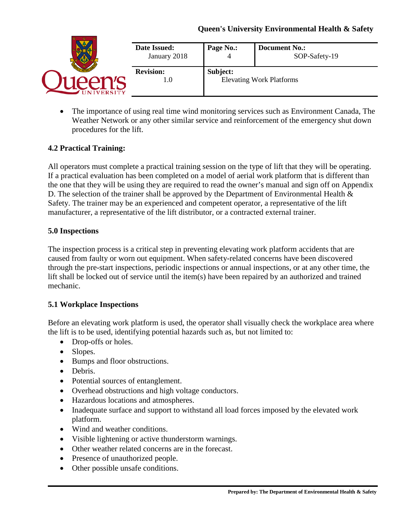|                | <b>Date Issued:</b><br>January 2018 | Page No.: | <b>Document No.:</b><br>SOP-Safety-19 |
|----------------|-------------------------------------|-----------|---------------------------------------|
| <b>VERSITY</b> | <b>Revision:</b><br>1.0             | Subject:  | <b>Elevating Work Platforms</b>       |

• The importance of using real time wind monitoring services such as Environment Canada, The Weather Network or any other similar service and reinforcement of the emergency shut down procedures for the lift.

### **4.2 Practical Training:**

All operators must complete a practical training session on the type of lift that they will be operating. If a practical evaluation has been completed on a model of aerial work platform that is different than the one that they will be using they are required to read the owner's manual and sign off on Appendix D. The selection of the trainer shall be approved by the Department of Environmental Health  $\&$ Safety. The trainer may be an experienced and competent operator, a representative of the lift manufacturer, a representative of the lift distributor, or a contracted external trainer.

### **5.0 Inspections**

The inspection process is a critical step in preventing elevating work platform accidents that are caused from faulty or worn out equipment. When safety-related concerns have been discovered through the pre-start inspections, periodic inspections or annual inspections, or at any other time, the lift shall be locked out of service until the item(s) have been repaired by an authorized and trained mechanic.

### **5.1 Workplace Inspections**

Before an elevating work platform is used, the operator shall visually check the workplace area where the lift is to be used, identifying potential hazards such as, but not limited to:

- Drop-offs or holes.
- Slopes.
- Bumps and floor obstructions.
- Debris.
- Potential sources of entanglement.
- Overhead obstructions and high voltage conductors.
- Hazardous locations and atmospheres.
- Inadequate surface and support to withstand all load forces imposed by the elevated work platform.
- Wind and weather conditions.
- Visible lightening or active thunderstorm warnings.
- Other weather related concerns are in the forecast.
- Presence of unauthorized people.
- Other possible unsafe conditions.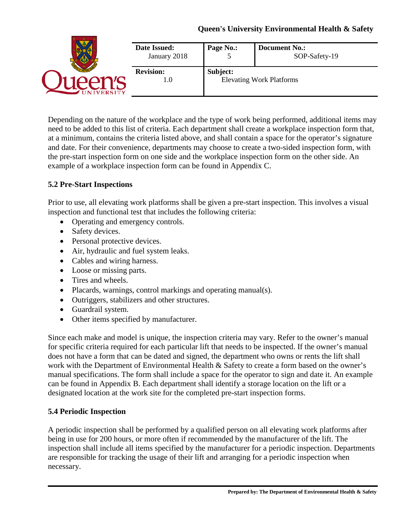|                | Date Issued:<br>January 2018 | Page No.: | <b>Document No.:</b><br>SOP-Safety-19 |
|----------------|------------------------------|-----------|---------------------------------------|
| <b>VERSITY</b> | <b>Revision:</b><br>1.0      | Subject:  | <b>Elevating Work Platforms</b>       |

Depending on the nature of the workplace and the type of work being performed, additional items may need to be added to this list of criteria. Each department shall create a workplace inspection form that, at a minimum, contains the criteria listed above, and shall contain a space for the operator's signature and date. For their convenience, departments may choose to create a two-sided inspection form, with the pre-start inspection form on one side and the workplace inspection form on the other side. An example of a workplace inspection form can be found in Appendix C.

#### **5.2 Pre-Start Inspections**

Prior to use, all elevating work platforms shall be given a pre-start inspection. This involves a visual inspection and functional test that includes the following criteria:

- Operating and emergency controls.
- Safety devices.
- Personal protective devices.
- Air, hydraulic and fuel system leaks.
- Cables and wiring harness.
- Loose or missing parts.
- Tires and wheels.
- Placards, warnings, control markings and operating manual(s).
- Outriggers, stabilizers and other structures.
- Guardrail system.
- Other items specified by manufacturer.

Since each make and model is unique, the inspection criteria may vary. Refer to the owner's manual for specific criteria required for each particular lift that needs to be inspected. If the owner's manual does not have a form that can be dated and signed, the department who owns or rents the lift shall work with the Department of Environmental Health & Safety to create a form based on the owner's manual specifications. The form shall include a space for the operator to sign and date it. An example can be found in Appendix B. Each department shall identify a storage location on the lift or a designated location at the work site for the completed pre-start inspection forms.

### **5.4 Periodic Inspection**

A periodic inspection shall be performed by a qualified person on all elevating work platforms after being in use for 200 hours, or more often if recommended by the manufacturer of the lift. The inspection shall include all items specified by the manufacturer for a periodic inspection. Departments are responsible for tracking the usage of their lift and arranging for a periodic inspection when necessary.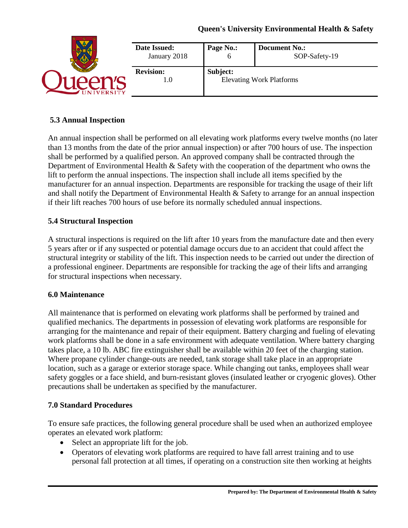|         | <b>Date Issued:</b>     | Page No.: | <b>Document No.:</b>            |
|---------|-------------------------|-----------|---------------------------------|
|         | January 2018            | O         | SOP-Safety-19                   |
| /ERSITY | <b>Revision:</b><br>1.0 | Subject:  | <b>Elevating Work Platforms</b> |

### **5.3 Annual Inspection**

An annual inspection shall be performed on all elevating work platforms every twelve months (no later than 13 months from the date of the prior annual inspection) or after 700 hours of use. The inspection shall be performed by a qualified person. An approved company shall be contracted through the Department of Environmental Health & Safety with the cooperation of the department who owns the lift to perform the annual inspections. The inspection shall include all items specified by the manufacturer for an annual inspection. Departments are responsible for tracking the usage of their lift and shall notify the Department of Environmental Health & Safety to arrange for an annual inspection if their lift reaches 700 hours of use before its normally scheduled annual inspections.

### **5.4 Structural Inspection**

A structural inspections is required on the lift after 10 years from the manufacture date and then every 5 years after or if any suspected or potential damage occurs due to an accident that could affect the structural integrity or stability of the lift. This inspection needs to be carried out under the direction of a professional engineer. Departments are responsible for tracking the age of their lifts and arranging for structural inspections when necessary.

#### **6.0 Maintenance**

All maintenance that is performed on elevating work platforms shall be performed by trained and qualified mechanics. The departments in possession of elevating work platforms are responsible for arranging for the maintenance and repair of their equipment. Battery charging and fueling of elevating work platforms shall be done in a safe environment with adequate ventilation. Where battery charging takes place, a 10 lb. ABC fire extinguisher shall be available within 20 feet of the charging station. Where propane cylinder change-outs are needed, tank storage shall take place in an appropriate location, such as a garage or exterior storage space. While changing out tanks, employees shall wear safety goggles or a face shield, and burn-resistant gloves (insulated leather or cryogenic gloves). Other precautions shall be undertaken as specified by the manufacturer.

#### **7.0 Standard Procedures**

To ensure safe practices, the following general procedure shall be used when an authorized employee operates an elevated work platform:

- Select an appropriate lift for the job.
- Operators of elevating work platforms are required to have fall arrest training and to use personal fall protection at all times, if operating on a construction site then working at heights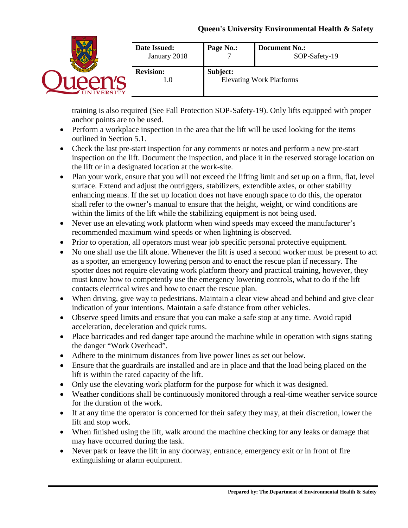|                  | Date Issued:<br>January 2018 | Page No.: | <b>Document No.:</b><br>SOP-Safety-19 |
|------------------|------------------------------|-----------|---------------------------------------|
| <b>JIVERSITY</b> | <b>Revision:</b><br>1.0      | Subject:  | <b>Elevating Work Platforms</b>       |

training is also required (See Fall Protection SOP-Safety-19). Only lifts equipped with proper anchor points are to be used.

- Perform a workplace inspection in the area that the lift will be used looking for the items outlined in Section 5.1.
- Check the last pre-start inspection for any comments or notes and perform a new pre-start inspection on the lift. Document the inspection, and place it in the reserved storage location on the lift or in a designated location at the work-site.
- Plan your work, ensure that you will not exceed the lifting limit and set up on a firm, flat, level surface. Extend and adjust the outriggers, stabilizers, extendible axles, or other stability enhancing means. If the set up location does not have enough space to do this, the operator shall refer to the owner's manual to ensure that the height, weight, or wind conditions are within the limits of the lift while the stabilizing equipment is not being used.
- Never use an elevating work platform when wind speeds may exceed the manufacturer's recommended maximum wind speeds or when lightning is observed.
- Prior to operation, all operators must wear job specific personal protective equipment.
- No one shall use the lift alone. Whenever the lift is used a second worker must be present to act as a spotter, an emergency lowering person and to enact the rescue plan if necessary. The spotter does not require elevating work platform theory and practical training, however, they must know how to competently use the emergency lowering controls, what to do if the lift contacts electrical wires and how to enact the rescue plan.
- When driving, give way to pedestrians. Maintain a clear view ahead and behind and give clear indication of your intentions. Maintain a safe distance from other vehicles.
- Observe speed limits and ensure that you can make a safe stop at any time. Avoid rapid acceleration, deceleration and quick turns.
- Place barricades and red danger tape around the machine while in operation with signs stating the danger "Work Overhead".
- Adhere to the minimum distances from live power lines as set out below.
- Ensure that the guardrails are installed and are in place and that the load being placed on the lift is within the rated capacity of the lift.
- Only use the elevating work platform for the purpose for which it was designed.
- Weather conditions shall be continuously monitored through a real-time weather service source for the duration of the work.
- If at any time the operator is concerned for their safety they may, at their discretion, lower the lift and stop work.
- When finished using the lift, walk around the machine checking for any leaks or damage that may have occurred during the task.
- Never park or leave the lift in any doorway, entrance, emergency exit or in front of fire extinguishing or alarm equipment.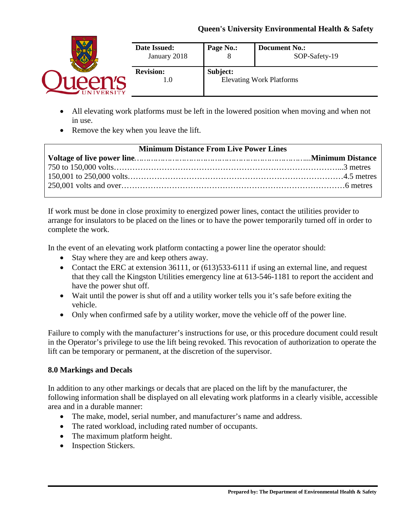|                | <b>Date Issued:</b><br>January 2018 | Page No.: | <b>Document No.:</b><br>SOP-Safety-19 |
|----------------|-------------------------------------|-----------|---------------------------------------|
| <b>VERSITY</b> | <b>Revision:</b><br>1.0             | Subject:  | <b>Elevating Work Platforms</b>       |

- All elevating work platforms must be left in the lowered position when moving and when not in use.
- Remove the key when you leave the lift.

| <b>Minimum Distance From Live Power Lines</b> |  |  |  |
|-----------------------------------------------|--|--|--|
|                                               |  |  |  |
|                                               |  |  |  |
|                                               |  |  |  |
|                                               |  |  |  |
|                                               |  |  |  |

If work must be done in close proximity to energized power lines, contact the utilities provider to arrange for insulators to be placed on the lines or to have the power temporarily turned off in order to complete the work.

In the event of an elevating work platform contacting a power line the operator should:

- Stay where they are and keep others away.
- Contact the ERC at extension 36111, or (613) 533-6111 if using an external line, and request that they call the Kingston Utilities emergency line at 613-546-1181 to report the accident and have the power shut off.
- Wait until the power is shut off and a utility worker tells you it's safe before exiting the vehicle.
- Only when confirmed safe by a utility worker, move the vehicle off of the power line.

Failure to comply with the manufacturer's instructions for use, or this procedure document could result in the Operator's privilege to use the lift being revoked. This revocation of authorization to operate the lift can be temporary or permanent, at the discretion of the supervisor.

### **8.0 Markings and Decals**

In addition to any other markings or decals that are placed on the lift by the manufacturer, the following information shall be displayed on all elevating work platforms in a clearly visible, accessible area and in a durable manner:

- The make, model, serial number, and manufacturer's name and address.
- The rated workload, including rated number of occupants.
- The maximum platform height.
- Inspection Stickers.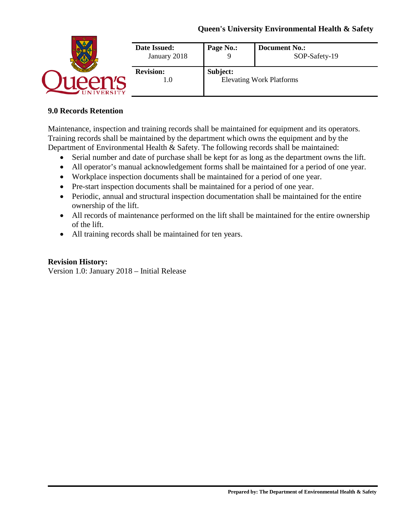|  | <b>Date Issued:</b><br>January 2018 | Page No.: | <b>Document No.:</b><br>SOP-Safety-19 |
|--|-------------------------------------|-----------|---------------------------------------|
|  | <b>Revision:</b><br>1.O             | Subject:  | <b>Elevating Work Platforms</b>       |

#### **9.0 Records Retention**

Maintenance, inspection and training records shall be maintained for equipment and its operators. Training records shall be maintained by the department which owns the equipment and by the Department of Environmental Health & Safety. The following records shall be maintained:

- Serial number and date of purchase shall be kept for as long as the department owns the lift.
- All operator's manual acknowledgement forms shall be maintained for a period of one year.
- Workplace inspection documents shall be maintained for a period of one year.
- Pre-start inspection documents shall be maintained for a period of one year.
- Periodic, annual and structural inspection documentation shall be maintained for the entire ownership of the lift.
- All records of maintenance performed on the lift shall be maintained for the entire ownership of the lift.
- All training records shall be maintained for ten years.

#### **Revision History:**

Version 1.0: January 2018 – Initial Release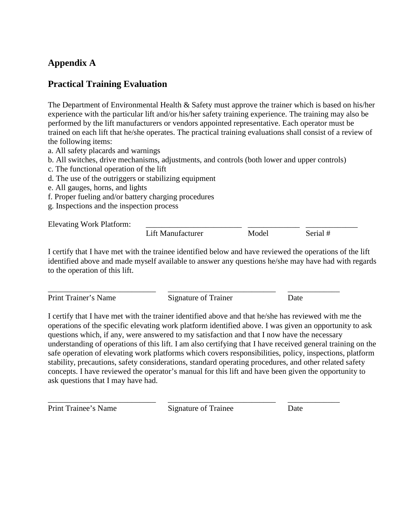# **Appendix A**

## **Practical Training Evaluation**

The Department of Environmental Health & Safety must approve the trainer which is based on his/her experience with the particular lift and/or his/her safety training experience. The training may also be performed by the lift manufacturers or vendors appointed representative. Each operator must be trained on each lift that he/she operates. The practical training evaluations shall consist of a review of the following items:

- a. All safety placards and warnings
- b. All switches, drive mechanisms, adjustments, and controls (both lower and upper controls)
- c. The functional operation of the lift
- d. The use of the outriggers or stabilizing equipment
- e. All gauges, horns, and lights
- f. Proper fueling and/or battery charging procedures
- g. Inspections and the inspection process

Elevating Work Platform:

Lift Manufacturer Model Serial #

I certify that I have met with the trainee identified below and have reviewed the operations of the lift identified above and made myself available to answer any questions he/she may have had with regards to the operation of this lift.

Print Trainer's Name Signature of Trainer Date

\_\_\_\_\_\_\_\_\_\_\_\_\_\_\_\_\_\_\_\_\_\_\_\_\_\_\_ \_\_\_\_\_\_\_\_\_\_\_\_\_\_\_\_\_\_\_\_\_\_\_\_\_\_\_ \_\_\_\_\_\_\_\_\_\_\_\_\_

I certify that I have met with the trainer identified above and that he/she has reviewed with me the operations of the specific elevating work platform identified above. I was given an opportunity to ask questions which, if any, were answered to my satisfaction and that I now have the necessary understanding of operations of this lift. I am also certifying that I have received general training on the safe operation of elevating work platforms which covers responsibilities, policy, inspections, platform stability, precautions, safety considerations, standard operating procedures, and other related safety concepts. I have reviewed the operator's manual for this lift and have been given the opportunity to ask questions that I may have had.

Print Trainee's Name Signature of Trainee Date

\_\_\_\_\_\_\_\_\_\_\_\_\_\_\_\_\_\_\_\_\_\_\_\_\_\_\_ \_\_\_\_\_\_\_\_\_\_\_\_\_\_\_\_\_\_\_\_\_\_\_\_\_\_\_ \_\_\_\_\_\_\_\_\_\_\_\_\_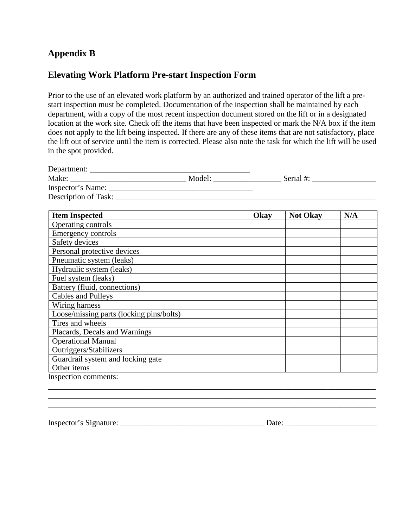# **Appendix B**

## **Elevating Work Platform Pre-start Inspection Form**

Prior to the use of an elevated work platform by an authorized and trained operator of the lift a prestart inspection must be completed. Documentation of the inspection shall be maintained by each department, with a copy of the most recent inspection document stored on the lift or in a designated location at the work site. Check off the items that have been inspected or mark the N/A box if the item does not apply to the lift being inspected. If there are any of these items that are not satisfactory, place the lift out of service until the item is corrected. Please also note the task for which the lift will be used in the spot provided.

| Department:          |        |           |  |
|----------------------|--------|-----------|--|
| Make:                | Model: | Serial #: |  |
| Inspector's Name:    |        |           |  |
| Description of Task: |        |           |  |
|                      |        |           |  |

| <b>Item Inspected</b>                    | Okay | <b>Not Okay</b> | N/A |
|------------------------------------------|------|-----------------|-----|
| Operating controls                       |      |                 |     |
| Emergency controls                       |      |                 |     |
| Safety devices                           |      |                 |     |
| Personal protective devices              |      |                 |     |
| Pneumatic system (leaks)                 |      |                 |     |
| Hydraulic system (leaks)                 |      |                 |     |
| Fuel system (leaks)                      |      |                 |     |
| Battery (fluid, connections)             |      |                 |     |
| Cables and Pulleys                       |      |                 |     |
| Wiring harness                           |      |                 |     |
| Loose/missing parts (locking pins/bolts) |      |                 |     |
| Tires and wheels                         |      |                 |     |
| Placards, Decals and Warnings            |      |                 |     |
| <b>Operational Manual</b>                |      |                 |     |
| Outriggers/Stabilizers                   |      |                 |     |
| Guardrail system and locking gate        |      |                 |     |
| Other items                              |      |                 |     |
| Inspection comments:                     |      |                 |     |

\_\_\_\_\_\_\_\_\_\_\_\_\_\_\_\_\_\_\_\_\_\_\_\_\_\_\_\_\_\_\_\_\_\_\_\_\_\_\_\_\_\_\_\_\_\_\_\_\_\_\_\_\_\_\_\_\_\_\_\_\_\_\_\_\_\_\_\_\_\_\_\_\_\_\_\_\_\_\_\_\_\_ \_\_\_\_\_\_\_\_\_\_\_\_\_\_\_\_\_\_\_\_\_\_\_\_\_\_\_\_\_\_\_\_\_\_\_\_\_\_\_\_\_\_\_\_\_\_\_\_\_\_\_\_\_\_\_\_\_\_\_\_\_\_\_\_\_\_\_\_\_\_\_\_\_\_\_\_\_\_\_\_\_\_

Inspector's Signature: \_\_\_\_\_\_\_\_\_\_\_\_\_\_\_\_\_\_\_\_\_\_\_\_\_\_\_\_\_\_\_\_\_\_\_\_ Date: \_\_\_\_\_\_\_\_\_\_\_\_\_\_\_\_\_\_\_\_\_\_\_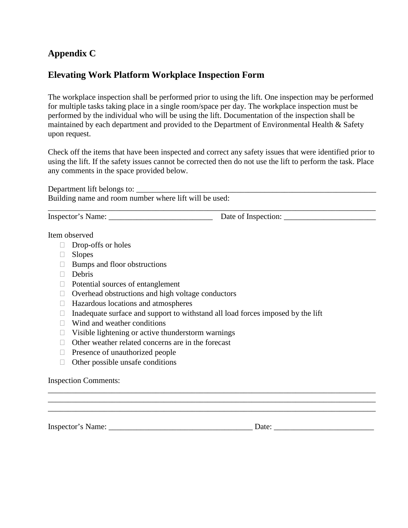# **Appendix C**

## **Elevating Work Platform Workplace Inspection Form**

The workplace inspection shall be performed prior to using the lift. One inspection may be performed for multiple tasks taking place in a single room/space per day. The workplace inspection must be performed by the individual who will be using the lift. Documentation of the inspection shall be maintained by each department and provided to the Department of Environmental Health & Safety upon request.

Check off the items that have been inspected and correct any safety issues that were identified prior to using the lift. If the safety issues cannot be corrected then do not use the lift to perform the task. Place any comments in the space provided below.

Department lift belongs to: Building name and room number where lift will be used: \_\_\_\_\_\_\_\_\_\_\_\_\_\_\_\_\_\_\_\_\_\_\_\_\_\_\_\_\_\_\_\_\_\_\_\_\_\_\_\_\_\_\_\_\_\_\_\_\_\_\_\_\_\_\_\_\_\_\_\_\_\_\_\_\_\_\_\_\_\_\_\_\_\_\_\_\_\_\_\_\_\_

Inspector's Name: \_\_\_\_\_\_\_\_\_\_\_\_\_\_\_\_\_\_\_\_\_\_\_\_\_\_ Date of Inspection: \_\_\_\_\_\_\_\_\_\_\_\_\_\_\_\_\_\_\_\_\_\_\_

Item observed

- Drop-offs or holes
- □ Slopes
- $\Box$  Bumps and floor obstructions
- Debris
- $\Box$  Potential sources of entanglement
- $\Box$  Overhead obstructions and high voltage conductors
- $\Box$  Hazardous locations and atmospheres
- $\Box$  Inadequate surface and support to withstand all load forces imposed by the lift
- $\Box$  Wind and weather conditions
- $\Box$  Visible lightening or active thunderstorm warnings
- $\Box$  Other weather related concerns are in the forecast
- $\Box$  Presence of unauthorized people
- $\Box$  Other possible unsafe conditions

Inspection Comments:

\_\_\_\_\_\_\_\_\_\_\_\_\_\_\_\_\_\_\_\_\_\_\_\_\_\_\_\_\_\_\_\_\_\_\_\_\_\_\_\_\_\_\_\_\_\_\_\_\_\_\_\_\_\_\_\_\_\_\_\_\_\_\_\_\_\_\_\_\_\_\_\_\_\_\_\_\_\_\_\_\_\_ Inspector's Name: <u>Date:</u> **Example 2.** Date:

\_\_\_\_\_\_\_\_\_\_\_\_\_\_\_\_\_\_\_\_\_\_\_\_\_\_\_\_\_\_\_\_\_\_\_\_\_\_\_\_\_\_\_\_\_\_\_\_\_\_\_\_\_\_\_\_\_\_\_\_\_\_\_\_\_\_\_\_\_\_\_\_\_\_\_\_\_\_\_\_\_\_ \_\_\_\_\_\_\_\_\_\_\_\_\_\_\_\_\_\_\_\_\_\_\_\_\_\_\_\_\_\_\_\_\_\_\_\_\_\_\_\_\_\_\_\_\_\_\_\_\_\_\_\_\_\_\_\_\_\_\_\_\_\_\_\_\_\_\_\_\_\_\_\_\_\_\_\_\_\_\_\_\_\_